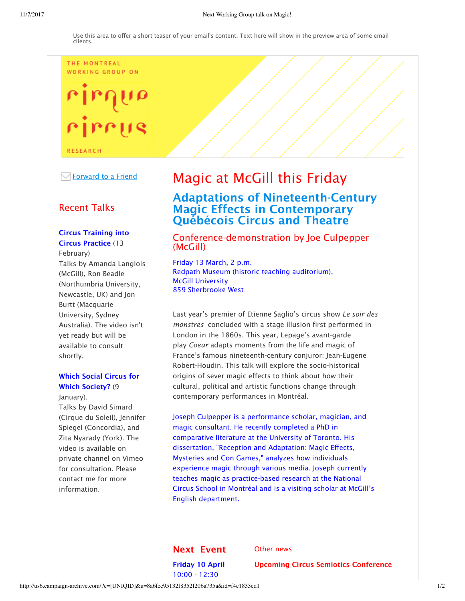#### THE MONTREAL WORKING GROUP ON

# rirrus

**RESEARCH** 

 $\overline{\mathcal{A}}$  Forward to a Friend

## Recent Talks

#### Circus Training into Circus Practice (13

February) Talks by Amanda Langlois (McGill), Ron Beadle (Northumbria University, Newcastle, UK) and Jon Burtt (Macquarie University, Sydney Australia). The video isn't yet ready but will be available to consult shortly.

### Which Social Circus for Which Society? (9)

January). Talks by David Simard (Cirque du Soleil), Jennifer Spiegel (Concordia), and Zita Nyarady (York). The video is available on private channel on Vimeo for consultation. Please contact me for more information.

# Magic at McGill this Friday

# Adaptations of Nineteenth-Century Magic Effects in Contemporary Québécois Circus and Theatre

#### Conference-demonstration by Joe Culpepper (McGill)

Friday 13 March, 2 p.m. Redpath Museum (historic teaching auditorium), McGill University 859 Sherbrooke West

Last year's premier of Etienne Saglio's circus show *Le soir des monstres* concluded with a stage illusion first performed in London in the 1860s. This year, Lepage's avant-garde play *Coeur* adapts moments from the life and magic of France's famous nineteenth-century conjuror: Jean-Eugene Robert-Houdin. This talk will explore the socio-historical origins of sever magic effects to think about how their cultural, political and artistic functions change through contemporary performances in Montréal.

Joseph Culpepper is a performance scholar, magician, and magic consultant. He recently completed a PhD in comparative literature at the University of Toronto. His dissertation, "Reception and Adaptation: Magic Effects, Mysteries and Con Games," analyzes how individuals experience magic through various media. Joseph currently teaches magic as practice-based research at the National Circus School in Montréal and is a visiting scholar at McGill's English department.

#### Next Event

Other news

Friday 10 April 10:00 - 12:30

Upcoming Circus Semiotics Conference